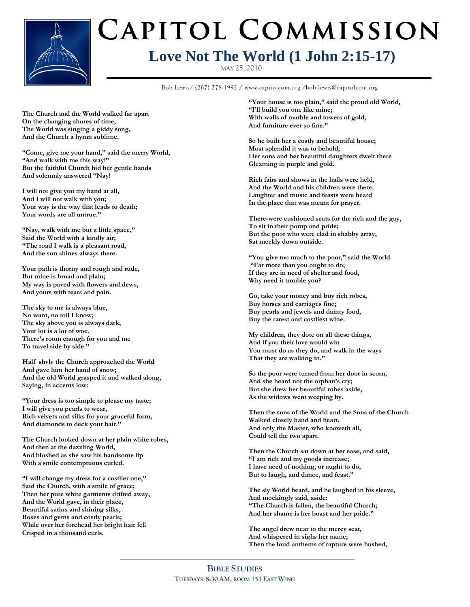

# CAPITOL COMMISSION **Love Not The World (1 John 2:15-17)**

MAY 25, 2010

**Bible Study Title** Bob Lewis/ (267) 278-1992 / www.capitolcom.org /bob.lewis@capitolcom.org

**The Church and the World walked far apart On the changing shores of time, The World was singing a giddy song, And the Church a hymn sublime.**

**"Come, give me your hand," said the merry World, "And walk with me this way!" But the faithful Church hid her gentle hands And solemnly answered "Nay!**

**I will not give you my hand at all, And I will not walk with you; Your way is the way that leads to death; Your words are all untrue."**

**"Nay, walk with me but a little space," Said the World with a kindly air; "The road I walk is a pleasant road, And the sun shines always there.**

**Your path is thorny and rough and rude, But mine is broad and plain; My way is paved with flowers and dews, And yours with tears and pain.**

**The sky to me is always blue, No want, no toil I know; The sky above you is always dark, Your lot is a lot of woe. There"s room enough for you and me To travel side by side."**

**Half shyly the Church approached the World And gave him her hand of snow; And the old World grasped it and walked along, Saying, in accents low:**

**"Your dress is too simple to please my taste; I will give you pearls to wear, Rich velvets and silks for your graceful form, And diamonds to deck your hair."**

**The Church looked down at her plain white robes, And then at the dazzling World, And blushed as she saw his handsome lip With a smile contemptuous curled.**

**"I will change my dress for a costlier one," Said the Church, with a smile of grace; Then her pure white garments drifted away, And the World gave, in their place, Beautiful satins and shining silks, Roses and gems and costly pearls; While over her forehead her bright hair fell Crisped in a thousand curls.**

**"Your house is too plain," said the proud old World, "I"ll build you one like mine; With walls of marble and towers of gold, And furniture ever so fine."**

**So he built her a costly and beautiful house; Most splendid it was to behold; Her sons and her beautiful daughters dwelt there Gleaming in purple and gold.**

**Rich fairs and shows in the halls were held, And the World and his children were there. Laughter and music and feasts were heard In the place that was meant for prayer.**

**There-were cushioned seats for the rich and the gay, To sit in their pomp and pride; But the poor who were clad in shabby array, Sat meekly down outside.**

**"You give too much to the poor," said the World. "Far more than you ought to do; If they are in need of shelter and food, Why need it trouble you?**

**Go, take your money and buy rich robes, Buy horses and carriages fine; Buy pearls and jewels and dainty food, Buy the rarest and costliest wine.**

**My children, they dote on all these things, And if you their love would win You must do as they do, and walk in the ways That they are walking in."**

**So the poor were turned from her door in scorn, And she heard not the orphan"s cry; But she drew her beautiful robes aside, As the widows went weeping by.**

**Then the sons of the World and the Sons of the Church Walked closely hand and heart, And only the Master, who knoweth all, Could tell the two apart.**

**Then the Church sat down at her ease, and said, "I am rich and my goods increase; I have need of nothing, or aught to do, But to laugh, and dance, and feast."**

**The sly World heard, and he laughed in his sleeve, And mockingly said, aside: "The Church is fallen, the beautiful Church; And her shame is her boast and her pride."**

**The angel drew near to the mercy seat, And whispered in sighs her name; Then the loud anthems of rapture were hushed,**